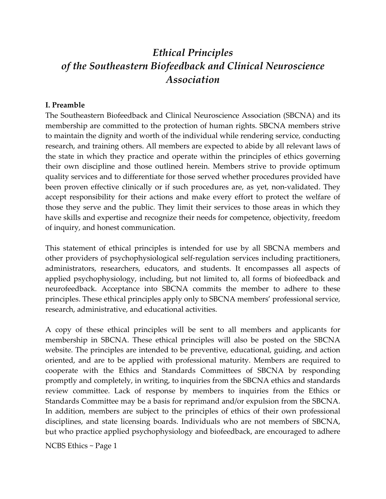# *Ethical Principles of the Southeastern Biofeedback and Clinical Neuroscience Association*

#### **I. Preamble**

The Southeastern Biofeedback and Clinical Neuroscience Association (SBCNA) and its membership are committed to the protection of human rights. SBCNA members strive to maintain the dignity and worth of the individual while rendering service, conducting research, and training others. All members are expected to abide by all relevant laws of the state in which they practice and operate within the principles of ethics governing their own discipline and those outlined herein. Members strive to provide optimum quality services and to differentiate for those served whether procedures provided have been proven effective clinically or if such procedures are, as yet, non-validated. They accept responsibility for their actions and make every effort to protect the welfare of those they serve and the public. They limit their services to those areas in which they have skills and expertise and recognize their needs for competence, objectivity, freedom of inquiry, and honest communication.

This statement of ethical principles is intended for use by all SBCNA members and other providers of psychophysiological self‐regulation services including practitioners, administrators, researchers, educators, and students. It encompasses all aspects of applied psychophysiology, including, but not limited to, all forms of biofeedback and neurofeedback. Acceptance into SBCNA commits the member to adhere to these principles. These ethical principles apply only to SBCNA members' professional service, research, administrative, and educational activities.

A copy of these ethical principles will be sent to all members and applicants for membership in SBCNA. These ethical principles will also be posted on the SBCNA website. The principles are intended to be preventive, educational, guiding, and action oriented, and are to be applied with professional maturity. Members are required to cooperate with the Ethics and Standards Committees of SBCNA by responding promptly and completely, in writing, to inquiries from the SBCNA ethics and standards review committee. Lack of response by members to inquiries from the Ethics or Standards Committee may be a basis for reprimand and/or expulsion from the SBCNA. In addition, members are subject to the principles of ethics of their own professional disciplines, and state licensing boards. Individuals who are not members of SBCNA, but who practice applied psychophysiology and biofeedback, are encouraged to adhere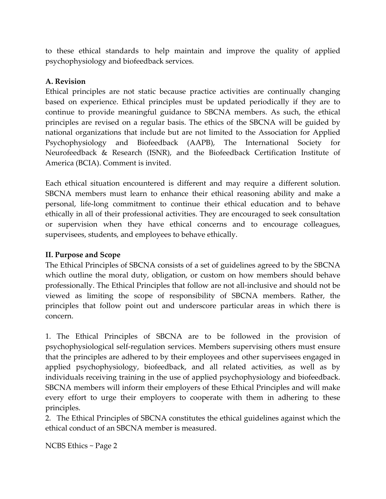to these ethical standards to help maintain and improve the quality of applied psychophysiology and biofeedback services.

## **A. Revision**

Ethical principles are not static because practice activities are continually changing based on experience. Ethical principles must be updated periodically if they are to continue to provide meaningful guidance to SBCNA members. As such, the ethical principles are revised on a regular basis. The ethics of the SBCNA will be guided by national organizations that include but are not limited to the Association for Applied Psychophysiology and Biofeedback (AAPB), The International Society for Neurofeedback & Research (ISNR), and the Biofeedback Certification Institute of America (BCIA). Comment is invited.

Each ethical situation encountered is different and may require a different solution. SBCNA members must learn to enhance their ethical reasoning ability and make a personal, life-long commitment to continue their ethical education and to behave ethically in all of their professional activities. They are encouraged to seek consultation or supervision when they have ethical concerns and to encourage colleagues, supervisees, students, and employees to behave ethically.

# **II. Purpose and Scope**

The Ethical Principles of SBCNA consists of a set of guidelines agreed to by the SBCNA which outline the moral duty, obligation, or custom on how members should behave professionally. The Ethical Principles that follow are not all‐inclusive and should not be viewed as limiting the scope of responsibility of SBCNA members. Rather, the principles that follow point out and underscore particular areas in which there is concern.

1. The Ethical Principles of SBCNA are to be followed in the provision of psychophysiological self‐regulation services. Members supervising others must ensure that the principles are adhered to by their employees and other supervisees engaged in applied psychophysiology, biofeedback, and all related activities, as well as by individuals receiving training in the use of applied psychophysiology and biofeedback. SBCNA members will inform their employers of these Ethical Principles and will make every effort to urge their employers to cooperate with them in adhering to these principles.

2. The Ethical Principles of SBCNA constitutes the ethical guidelines against which the ethical conduct of an SBCNA member is measured.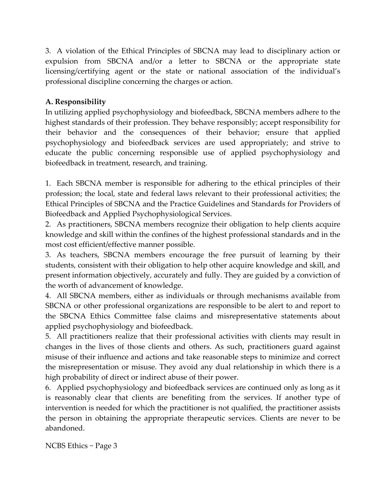3. A violation of the Ethical Principles of SBCNA may lead to disciplinary action or expulsion from SBCNA and/or a letter to SBCNA or the appropriate state licensing/certifying agent or the state or national association of the individual's professional discipline concerning the charges or action.

# **A. Responsibility**

In utilizing applied psychophysiology and biofeedback, SBCNA members adhere to the highest standards of their profession. They behave responsibly; accept responsibility for their behavior and the consequences of their behavior; ensure that applied psychophysiology and biofeedback services are used appropriately; and strive to educate the public concerning responsible use of applied psychophysiology and biofeedback in treatment, research, and training.

1. Each SBCNA member is responsible for adhering to the ethical principles of their profession; the local, state and federal laws relevant to their professional activities; the Ethical Principles of SBCNA and the Practice Guidelines and Standards for Providers of Biofeedback and Applied Psychophysiological Services.

2. As practitioners, SBCNA members recognize their obligation to help clients acquire knowledge and skill within the confines of the highest professional standards and in the most cost efficient/effective manner possible.

3. As teachers, SBCNA members encourage the free pursuit of learning by their students, consistent with their obligation to help other acquire knowledge and skill, and present information objectively, accurately and fully. They are guided by a conviction of the worth of advancement of knowledge.

4. All SBCNA members, either as individuals or through mechanisms available from SBCNA or other professional organizations are responsible to be alert to and report to the SBCNA Ethics Committee false claims and misrepresentative statements about applied psychophysiology and biofeedback.

5. All practitioners realize that their professional activities with clients may result in changes in the lives of those clients and others. As such, practitioners guard against misuse of their influence and actions and take reasonable steps to minimize and correct the misrepresentation or misuse. They avoid any dual relationship in which there is a high probability of direct or indirect abuse of their power.

6. Applied psychophysiology and biofeedback services are continued only as long as it is reasonably clear that clients are benefiting from the services. If another type of intervention is needed for which the practitioner is not qualified, the practitioner assists the person in obtaining the appropriate therapeutic services. Clients are never to be abandoned.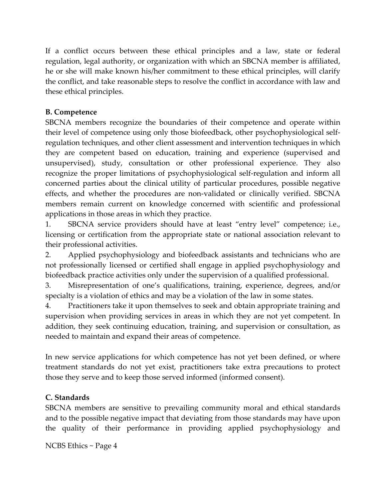If a conflict occurs between these ethical principles and a law, state or federal regulation, legal authority, or organization with which an SBCNA member is affiliated, he or she will make known his/her commitment to these ethical principles, will clarify the conflict, and take reasonable steps to resolve the conflict in accordance with law and these ethical principles.

# **B. Competence**

SBCNA members recognize the boundaries of their competence and operate within their level of competence using only those biofeedback, other psychophysiological self‐ regulation techniques, and other client assessment and intervention techniques in which they are competent based on education, training and experience (supervised and unsupervised), study, consultation or other professional experience. They also recognize the proper limitations of psychophysiological self‐regulation and inform all concerned parties about the clinical utility of particular procedures, possible negative effects, and whether the procedures are non‐validated or clinically verified. SBCNA members remain current on knowledge concerned with scientific and professional applications in those areas in which they practice.

1. SBCNA service providers should have at least "entry level" competence; i.e., licensing or certification from the appropriate state or national association relevant to their professional activities.

2. Applied psychophysiology and biofeedback assistants and technicians who are not professionally licensed or certified shall engage in applied psychophysiology and biofeedback practice activities only under the supervision of a qualified professional.

3. Misrepresentation of one's qualifications, training, experience, degrees, and/or specialty is a violation of ethics and may be a violation of the law in some states.

4. Practitioners take it upon themselves to seek and obtain appropriate training and supervision when providing services in areas in which they are not yet competent. In addition, they seek continuing education, training, and supervision or consultation, as needed to maintain and expand their areas of competence.

In new service applications for which competence has not yet been defined, or where treatment standards do not yet exist, practitioners take extra precautions to protect those they serve and to keep those served informed (informed consent).

# **C. Standards**

SBCNA members are sensitive to prevailing community moral and ethical standards and to the possible negative impact that deviating from those standards may have upon the quality of their performance in providing applied psychophysiology and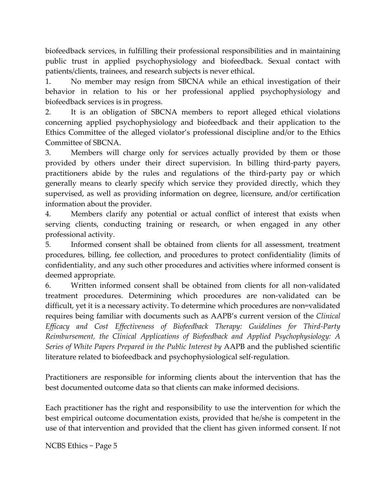biofeedback services, in fulfilling their professional responsibilities and in maintaining public trust in applied psychophysiology and biofeedback. Sexual contact with patients/clients, trainees, and research subjects is never ethical.

1. No member may resign from SBCNA while an ethical investigation of their behavior in relation to his or her professional applied psychophysiology and biofeedback services is in progress.

2. It is an obligation of SBCNA members to report alleged ethical violations concerning applied psychophysiology and biofeedback and their application to the Ethics Committee of the alleged violator's professional discipline and/or to the Ethics Committee of SBCNA.

3. Members will charge only for services actually provided by them or those provided by others under their direct supervision. In billing third‐party payers, practitioners abide by the rules and regulations of the third‐party pay or which generally means to clearly specify which service they provided directly, which they supervised, as well as providing information on degree, licensure, and/or certification information about the provider.

4. Members clarify any potential or actual conflict of interest that exists when serving clients, conducting training or research, or when engaged in any other professional activity.

5. Informed consent shall be obtained from clients for all assessment, treatment procedures, billing, fee collection, and procedures to protect confidentiality (limits of confidentiality, and any such other procedures and activities where informed consent is deemed appropriate.

6. Written informed consent shall be obtained from clients for all non‐validated treatment procedures. Determining which procedures are non‐validated can be difficult, yet it is a necessary activity. To determine which procedures are non=validated requires being familiar with documents such as AAPB's current version of the *Clinical Efficacy and Cost Effectiveness of Biofeedback Therapy: Guidelines for Third‐Party Reimbursement, the Clinical Applications of Biofeedback and Applied Psychophysiology: A Series of White Papers Prepared in the Public Interest by* AAPB and the published scientific literature related to biofeedback and psychophysiological self‐regulation.

Practitioners are responsible for informing clients about the intervention that has the best documented outcome data so that clients can make informed decisions.

Each practitioner has the right and responsibility to use the intervention for which the best empirical outcome documentation exists, provided that he/she is competent in the use of that intervention and provided that the client has given informed consent. If not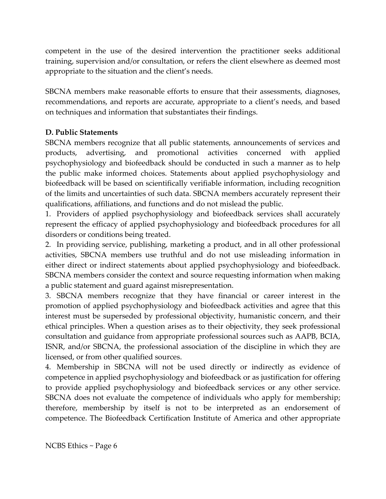competent in the use of the desired intervention the practitioner seeks additional training, supervision and/or consultation, or refers the client elsewhere as deemed most appropriate to the situation and the client's needs.

SBCNA members make reasonable efforts to ensure that their assessments, diagnoses, recommendations, and reports are accurate, appropriate to a client's needs, and based on techniques and information that substantiates their findings.

## **D. Public Statements**

SBCNA members recognize that all public statements, announcements of services and products, advertising, and promotional activities concerned with applied psychophysiology and biofeedback should be conducted in such a manner as to help the public make informed choices. Statements about applied psychophysiology and biofeedback will be based on scientifically verifiable information, including recognition of the limits and uncertainties of such data. SBCNA members accurately represent their qualifications, affiliations, and functions and do not mislead the public.

1. Providers of applied psychophysiology and biofeedback services shall accurately represent the efficacy of applied psychophysiology and biofeedback procedures for all disorders or conditions being treated.

2. In providing service, publishing, marketing a product, and in all other professional activities, SBCNA members use truthful and do not use misleading information in either direct or indirect statements about applied psychophysiology and biofeedback. SBCNA members consider the context and source requesting information when making a public statement and guard against misrepresentation.

3. SBCNA members recognize that they have financial or career interest in the promotion of applied psychophysiology and biofeedback activities and agree that this interest must be superseded by professional objectivity, humanistic concern, and their ethical principles. When a question arises as to their objectivity, they seek professional consultation and guidance from appropriate professional sources such as AAPB, BCIA, ISNR, and/or SBCNA, the professional association of the discipline in which they are licensed, or from other qualified sources.

4. Membership in SBCNA will not be used directly or indirectly as evidence of competence in applied psychophysiology and biofeedback or as justification for offering to provide applied psychophysiology and biofeedback services or any other service. SBCNA does not evaluate the competence of individuals who apply for membership; therefore, membership by itself is not to be interpreted as an endorsement of competence. The Biofeedback Certification Institute of America and other appropriate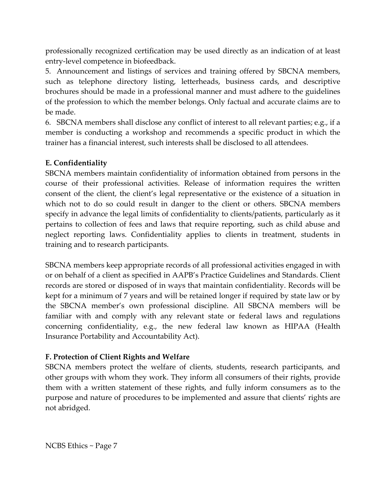professionally recognized certification may be used directly as an indication of at least entry‐level competence in biofeedback.

5. Announcement and listings of services and training offered by SBCNA members, such as telephone directory listing, letterheads, business cards, and descriptive brochures should be made in a professional manner and must adhere to the guidelines of the profession to which the member belongs. Only factual and accurate claims are to be made.

6. SBCNA members shall disclose any conflict of interest to all relevant parties; e.g., if a member is conducting a workshop and recommends a specific product in which the trainer has a financial interest, such interests shall be disclosed to all attendees.

## **E. Confidentiality**

SBCNA members maintain confidentiality of information obtained from persons in the course of their professional activities. Release of information requires the written consent of the client, the client's legal representative or the existence of a situation in which not to do so could result in danger to the client or others. SBCNA members specify in advance the legal limits of confidentiality to clients/patients, particularly as it pertains to collection of fees and laws that require reporting, such as child abuse and neglect reporting laws. Confidentiality applies to clients in treatment, students in training and to research participants.

SBCNA members keep appropriate records of all professional activities engaged in with or on behalf of a client as specified in AAPB's Practice Guidelines and Standards. Client records are stored or disposed of in ways that maintain confidentiality. Records will be kept for a minimum of 7 years and will be retained longer if required by state law or by the SBCNA member's own professional discipline. All SBCNA members will be familiar with and comply with any relevant state or federal laws and regulations concerning confidentiality, e.g., the new federal law known as HIPAA (Health Insurance Portability and Accountability Act).

# **F. Protection of Client Rights and Welfare**

SBCNA members protect the welfare of clients, students, research participants, and other groups with whom they work. They inform all consumers of their rights, provide them with a written statement of these rights, and fully inform consumers as to the purpose and nature of procedures to be implemented and assure that clients' rights are not abridged.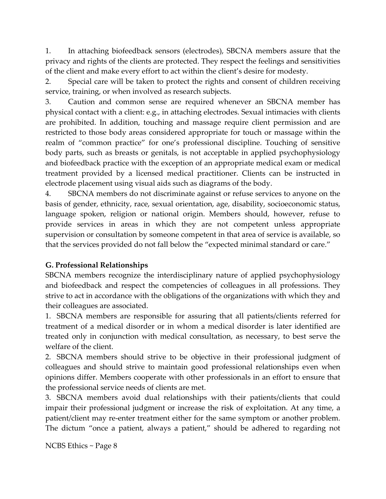1. In attaching biofeedback sensors (electrodes), SBCNA members assure that the privacy and rights of the clients are protected. They respect the feelings and sensitivities of the client and make every effort to act within the client's desire for modesty.

2. Special care will be taken to protect the rights and consent of children receiving service, training, or when involved as research subjects.

3. Caution and common sense are required whenever an SBCNA member has physical contact with a client: e.g., in attaching electrodes. Sexual intimacies with clients are prohibited. In addition, touching and massage require client permission and are restricted to those body areas considered appropriate for touch or massage within the realm of "common practice" for one's professional discipline. Touching of sensitive body parts, such as breasts or genitals, is not acceptable in applied psychophysiology and biofeedback practice with the exception of an appropriate medical exam or medical treatment provided by a licensed medical practitioner. Clients can be instructed in electrode placement using visual aids such as diagrams of the body.

4. SBCNA members do not discriminate against or refuse services to anyone on the basis of gender, ethnicity, race, sexual orientation, age, disability, socioeconomic status, language spoken, religion or national origin. Members should, however, refuse to provide services in areas in which they are not competent unless appropriate supervision or consultation by someone competent in that area of service is available, so that the services provided do not fall below the "expected minimal standard or care."

# **G. Professional Relationships**

SBCNA members recognize the interdisciplinary nature of applied psychophysiology and biofeedback and respect the competencies of colleagues in all professions. They strive to act in accordance with the obligations of the organizations with which they and their colleagues are associated.

1. SBCNA members are responsible for assuring that all patients/clients referred for treatment of a medical disorder or in whom a medical disorder is later identified are treated only in conjunction with medical consultation, as necessary, to best serve the welfare of the client.

2. SBCNA members should strive to be objective in their professional judgment of colleagues and should strive to maintain good professional relationships even when opinions differ. Members cooperate with other professionals in an effort to ensure that the professional service needs of clients are met.

3. SBCNA members avoid dual relationships with their patients/clients that could impair their professional judgment or increase the risk of exploitation. At any time, a patient/client may re‐enter treatment either for the same symptom or another problem. The dictum "once a patient, always a patient," should be adhered to regarding not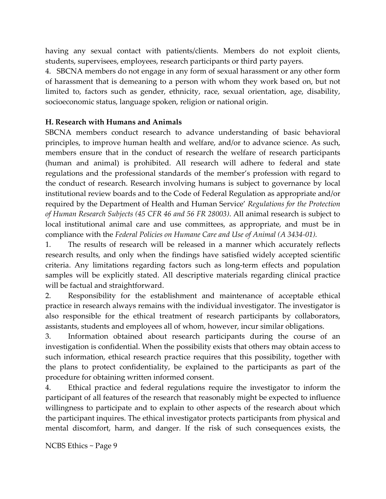having any sexual contact with patients/clients. Members do not exploit clients, students, supervisees, employees, research participants or third party payers.

4. SBCNA members do not engage in any form of sexual harassment or any other form of harassment that is demeaning to a person with whom they work based on, but not limited to, factors such as gender, ethnicity, race, sexual orientation, age, disability, socioeconomic status, language spoken, religion or national origin.

## **H. Research with Humans and Animals**

SBCNA members conduct research to advance understanding of basic behavioral principles, to improve human health and welfare, and/or to advance science. As such, members ensure that in the conduct of research the welfare of research participants (human and animal) is prohibited. All research will adhere to federal and state regulations and the professional standards of the member's profession with regard to the conduct of research. Research involving humans is subject to governance by local institutional review boards and to the Code of Federal Regulation as appropriate and/or required by the Department of Health and Human Service' *Regulations for the Protection of Human Research Subjects (45 CFR 46 and 56 FR 28003)*. All animal research is subject to local institutional animal care and use committees, as appropriate, and must be in compliance with the *Federal Policies on Humane Care and Use of Animal (A 3434‐01).*

1. The results of research will be released in a manner which accurately reflects research results, and only when the findings have satisfied widely accepted scientific criteria. Any limitations regarding factors such as long‐term effects and population samples will be explicitly stated. All descriptive materials regarding clinical practice will be factual and straightforward.

2. Responsibility for the establishment and maintenance of acceptable ethical practice in research always remains with the individual investigator. The investigator is also responsible for the ethical treatment of research participants by collaborators, assistants, students and employees all of whom, however, incur similar obligations.

3. Information obtained about research participants during the course of an investigation is confidential. When the possibility exists that others may obtain access to such information, ethical research practice requires that this possibility, together with the plans to protect confidentiality, be explained to the participants as part of the procedure for obtaining written informed consent.

4. Ethical practice and federal regulations require the investigator to inform the participant of all features of the research that reasonably might be expected to influence willingness to participate and to explain to other aspects of the research about which the participant inquires. The ethical investigator protects participants from physical and mental discomfort, harm, and danger. If the risk of such consequences exists, the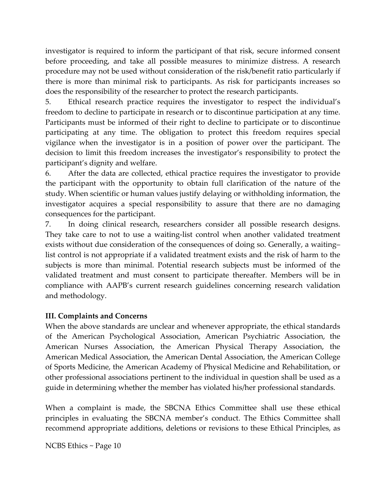investigator is required to inform the participant of that risk, secure informed consent before proceeding, and take all possible measures to minimize distress. A research procedure may not be used without consideration of the risk/benefit ratio particularly if there is more than minimal risk to participants. As risk for participants increases so does the responsibility of the researcher to protect the research participants.

5. Ethical research practice requires the investigator to respect the individual's freedom to decline to participate in research or to discontinue participation at any time. Participants must be informed of their right to decline to participate or to discontinue participating at any time. The obligation to protect this freedom requires special vigilance when the investigator is in a position of power over the participant. The decision to limit this freedom increases the investigator's responsibility to protect the participant's dignity and welfare.

6. After the data are collected, ethical practice requires the investigator to provide the participant with the opportunity to obtain full clarification of the nature of the study. When scientific or human values justify delaying or withholding information, the investigator acquires a special responsibility to assure that there are no damaging consequences for the participant.

7. In doing clinical research, researchers consider all possible research designs. They take care to not to use a waiting-list control when another validated treatment exists without due consideration of the consequences of doing so. Generally, a waiting– list control is not appropriate if a validated treatment exists and the risk of harm to the subjects is more than minimal. Potential research subjects must be informed of the validated treatment and must consent to participate thereafter. Members will be in compliance with AAPB's current research guidelines concerning research validation and methodology.

# **III. Complaints and Concerns**

When the above standards are unclear and whenever appropriate, the ethical standards of the American Psychological Association, American Psychiatric Association, the American Nurses Association, the American Physical Therapy Association, the American Medical Association, the American Dental Association, the American College of Sports Medicine, the American Academy of Physical Medicine and Rehabilitation, or other professional associations pertinent to the individual in question shall be used as a guide in determining whether the member has violated his/her professional standards.

When a complaint is made, the SBCNA Ethics Committee shall use these ethical principles in evaluating the SBCNA member's conduct. The Ethics Committee shall recommend appropriate additions, deletions or revisions to these Ethical Principles, as